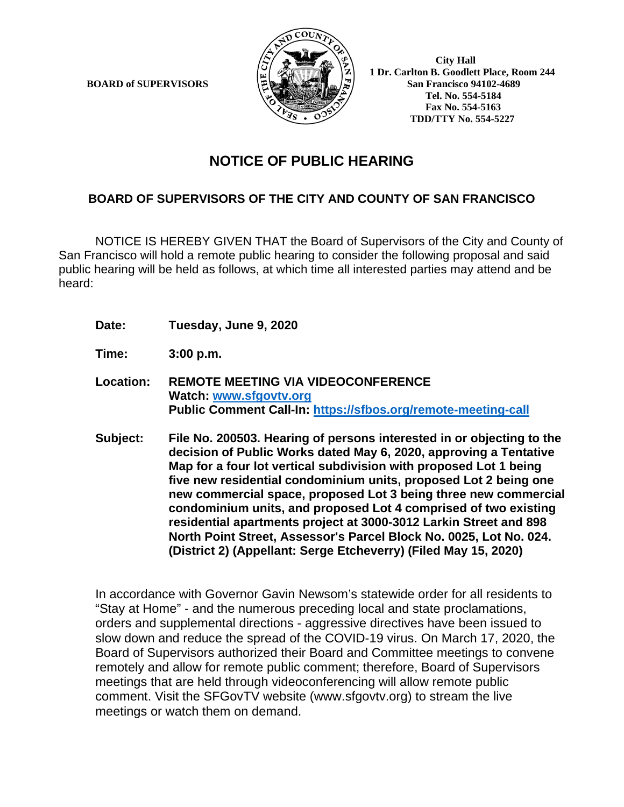**BOARD of SUPERVISORS** 



 **1 Dr. Carlton B. Goodlett Place, Room 244 Tel. No. 554-5184 Fax No. 554-5163 TDD/TTY No. 554-5227**

## **NOTICE OF PUBLIC HEARING**

## **BOARD OF SUPERVISORS OF THE CITY AND COUNTY OF SAN FRANCISCO**

NOTICE IS HEREBY GIVEN THAT the Board of Supervisors of the City and County of San Francisco will hold a remote public hearing to consider the following proposal and said public hearing will be held as follows, at which time all interested parties may attend and be heard:

- **Date: Tuesday, June 9, 2020**
- **Time: 3:00 p.m.**
- **Location: REMOTE MEETING VIA VIDEOCONFERENCE Watch: www.sfgovtv.org Public Comment Call-In: https://sfbos.org/remote-meeting-call**
- **Subject: File No. 200503. Hearing of persons interested in or objecting to the decision of Public Works dated May 6, 2020, approving a Tentative Map for a four lot vertical subdivision with proposed Lot 1 being five new residential condominium units, proposed Lot 2 being one new commercial space, proposed Lot 3 being three new commercial condominium units, and proposed Lot 4 comprised of two existing residential apartments project at 3000-3012 Larkin Street and 898 North Point Street, Assessor's Parcel Block No. 0025, Lot No. 024. (District 2) (Appellant: Serge Etcheverry) (Filed May 15, 2020)**

In accordance with Governor Gavin Newsom's statewide order for all residents to "Stay at Home" - and the numerous preceding local and state proclamations, orders and supplemental directions - aggressive directives have been issued to slow down and reduce the spread of the COVID-19 virus. On March 17, 2020, the Board of Supervisors authorized their Board and Committee meetings to convene remotely and allow for remote public comment; therefore, Board of Supervisors meetings that are held through videoconferencing will allow remote public comment. Visit the SFGovTV website (www.sfgovtv.org) to stream the live meetings or watch them on demand.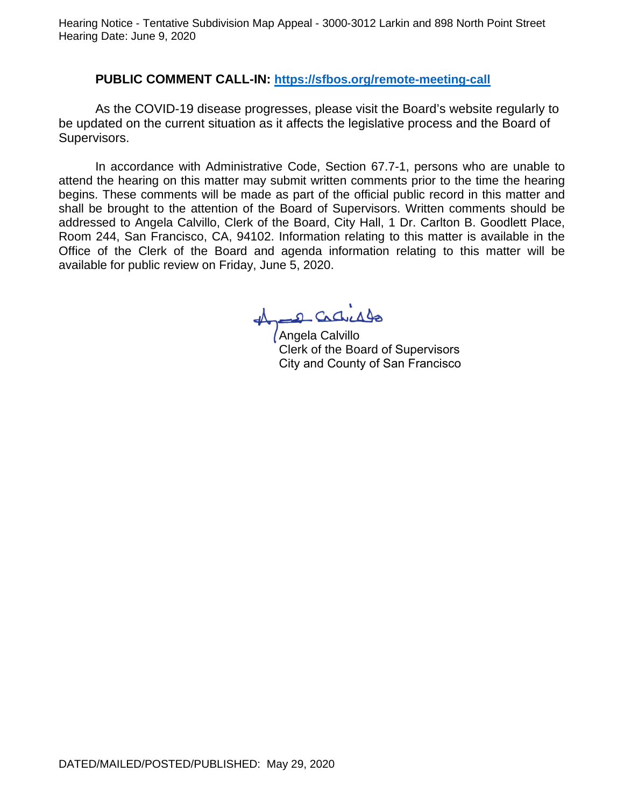Hearing Notice - Tentative Subdivision Map Appeal - 3000-3012 Larkin and 898 North Point Street Hearing Date: June 9, 2020

## **PUBLIC COMMENT CALL-IN: https://sfbos.org/remote-meeting-call**

As the COVID-19 disease progresses, please visit the Board's website regularly to be updated on the current situation as it affects the legislative process and the Board of Supervisors.

In accordance with Administrative Code, Section 67.7-1, persons who are unable to attend the hearing on this matter may submit written comments prior to the time the hearing begins. These comments will be made as part of the official public record in this matter and shall be brought to the attention of the Board of Supervisors. Written comments should be addressed to Angela Calvillo, Clerk of the Board, City Hall, 1 Dr. Carlton B. Goodlett Place, Room 244, San Francisco, CA, 94102. Information relating to this matter is available in the Office of the Clerk of the Board and agenda information relating to this matter will be available for public review on Friday, June 5, 2020.

1 Cadridge

Clerk of the Board of Supervisors City and County of San Francisco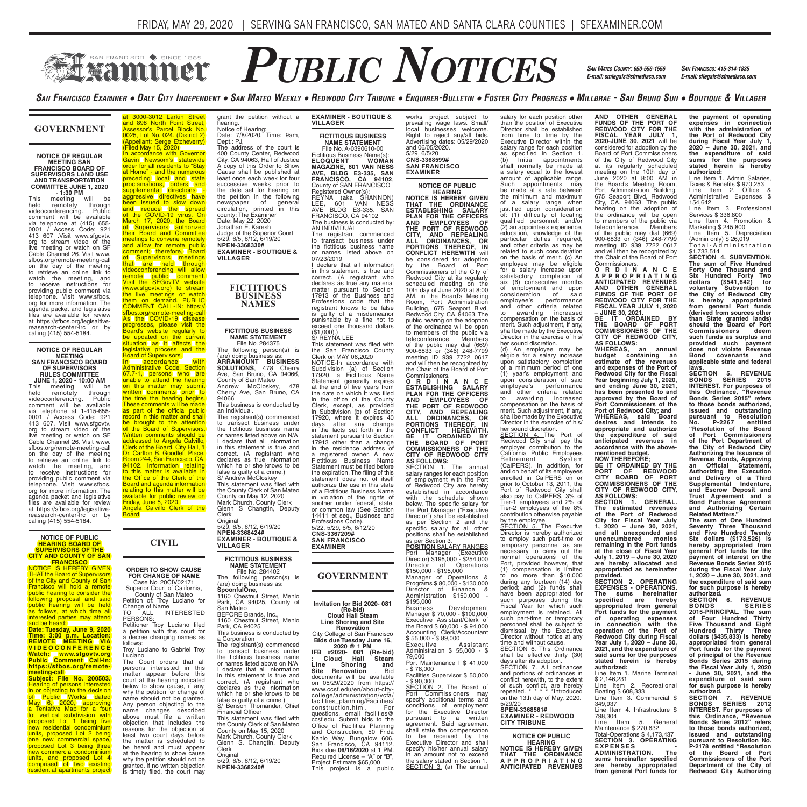# $P$ UBLIC  $N$ OTICES *SAN MATEO COUNTY: 650-556-1556 SAN FRANCISCO: 415-314-1835* **SEXAMINET**

*SAN MATEO COUNTY: 650-556-1556 E-mail: smlegals@sfmediaco.com*

SAN FRANCISCO EXAMINER . DALY CITY INDEPENDENT . SAN MATEO WEEKLY . REDWOOD CITY TRIBUNE . ENQUIRER-BULLETIN . FOSTER CITY PROGRESS . MILLBRAE - SAN BRUNO SUN . BOUTIQUE & VILLAGER

### **GOVERNMENT**

## **NOTICE OF REGULAR MEETING SAN FRANCISCO BOARD OF SUPERVISORS LAND USE AND TRANSPORTATION COMMITTEE JUNE 1, 2020**

**- 1:30 PM**  This meeting will be held remotely through videoconferencing. Public comment will be available via telephone at (415) 655- 0001 / Access Code: 921 413 607 .Visit www.sfgovtv. org to stream video of the live meeting or watch on SF Cable Channel 26. Visit www. sfbos.org/remote-meeting-call on the day of the meeting to retrieve an online link to watch the meeting, and to receive instructions for providing public comment via telephone. Visit www.sfbos. org for more information. The agenda packet and legislative files are available for review at https://sfbos.org/legisaltivereasearch-center-lrc calling (415) 554-5184.

### **NOTICE OF REGULAR MEETING SAN FRANCISCO BOARD OF SUPERVISORS RULES COMMITTEE**

**JUNE 1, 2020 - 10:00 AM**<br>This meeting will be<br>held remotely through<br>videoconferencing. Public This meeting will be held remotely through videoconferencing. Public comment will be available via telephone at 1-415-655- 0001 / Access Code: 921 413 607. Visit www.sfgovtv. org to stream video of the live meeting or watch on SF Cable Channel 26. Visit www. sfbos.org/remote-meeting-call on the day of the meeting to retrieve an online link to watch the meeting, and to receive instructions for providing public comment via telephone. Visit www.sfbos. org for more information. The agenda packet and legislative files are available for review at https://sfbos.org/legisaltive-reasearch-center-lrc or by calling (415) 554-5184.

### **NOTICE OF PUBLIC HEARING BOARD OF SUPERVISORS OF THE CITY AND COUNTY OF SAN**

**FRANCISCO** NOTICE IS HEREBY GIVEN THAT the Board of Supervisors of the City and County of San<br>Francisco will hold a remote public hearing to consider the following proposal and said<br>public hearing will be held<br>as follows, at which time all interested parties may attend<br>and be heard:<br>**Date: Tuesday, June 9, 2020** 

**Time: 3:00 p.m. Location: REMOTE MEETING VIA V I D E O C O N F E R E N C E Watch: www.sfgovtv.org Public Comment Call-In: https://sfbos.org/remote-**

**meeting-call Subject: File No. 200503.** Hearing of persons interested<br>in or objecting to the decision<br>of Public Works dated<br>May 6, 2020, approving<br>a Tentative Map for a four<br>lot vertical subdivision with<br>proposed Lot 1 being five new residential condominium units, proposed Lot 2 being one new commercial space, proposed Lot 3 being three new commercial condominium units, and proposed Lot 4<br>comprised of two existing **residential apartments project** 

at 3000-3012 Larkin Street and 898 North Point Street,<br>Assessor's Parcel Block No.<br>0025, Lot No. 024. (District 2) (Appellant: Serge Etcheverry) (Filed May 15, 2020) In accordance with Governor grant the petition without a hearing. Notice of Hearing: Date: 7/8/2020, Time: 9am, Dept.: PJ, The address of the court is 400 County Center, Redwood

Gavin Newsom's statewide<br>order for all residents to "Stay<br>at Home" - and the numerous<br>preceding local and state<br>proclamations, orders and supplemental directions - aggressive directives have been issued to slow down and reduce the spread of the COVID-19 virus. On<br>March 17, 2020, the Board<br>of Supervisors (authorized) their Board and Committee<br>
meetings to convene remotely<br>
and allow for remote public<br>
comment; therefore, Board<br>
of Supervisors meetings<br>
that are held through<br>
videoconferencing will allow remote public comment.<br>Visit the SFGovTV website<br>(www.sfgovtv.org) to stream the live meetings or watch<br>them on demand. PUBLIC COMMENT CALL-IN: https:// sfbos.org/remote-meeting-call<br>As the COVID-19 disease City, CA 94063, Hall of Justice A copy of this Order to Show Cause shall be published at least once each week for four successive weeks prior to the date set for hearing on the petition in the following<br>newspaper of general newspaper of general circulation, printed in this county: The Examiner Date: May 22, 2020 Jonathan E. Karesh Judge of the Superior Court 5/29, 6/5, 6/12, 6/19/20 **NPEN-3368330# EXAMINER - BOUTIQUE & VILLAGER FICTITIOUS BUSINESS NAMES**

### **FICTITIOUS BUSINESS NAME STATEMENT** File No. 284375 The following person(s) is

Original 5/29, 6/5, 6/12, 6/19/20 **NPEN-3368424# EXAMINER - BOUTIQUE &** 

**FICTITIOUS BUSINESS NAME STATEMENT** File No. 284402 The following person(s) is (are) doing business as: **SpoonfulOne**, 1160 Chestnut Street, Menlo Park, CA 94025, County of San Mateo BEFORE Brands, Inc., 1160 Chestnut Street, Menlo Park, CA 94025 This business is conducted by

The registrant(s) commenced to transact business under the fictitious business name or names listed above on N/A I declare that all information in this statement is true and correct. (A registrant who declares as true information which he or she knows to be false is guilty of a crime.) S/ Benson Thomander, Chief Financial Officer This statement was filed with the County Clerk of San Mateo County on May 15, 2020 Mark Church, County Clerk Glenn S. Changtin, Deputy

**VILLAGER**

a Corporation

Clerk

Original 5/29, 6/5, 6/12, 6/19/20 **NPEN-3368240#**

legislative process and the<br>Board of Supervisors. In accordance with<br>Administrative Code, Section<br>67.7-1, persons who are<br>unable to attend the hearing on this matter may submit<br>written comments prior to<br>the time the hearing begins. These comments will be made as part of the official public record in this matter and shall be brought to the attention of the Board of Supervisors. Written comments should be addressed to Angela Calvillo, Clerk of the Board, City Hall, 1 Dr. Carlton B. Goodlett Place, Room 244, San Francisco, CA,<br>94102. Information Lrelating<br>to this matter is available in the Office of the Clerk of the Board and agenda information relating to this matter will be available for public review on<br>Friday, June 5, 2020.<br>Angela Calvillo Clerk of the This business is conducted by an Individual. The registrant(s) commenced to transact business under the fictitious business name County on May 12, 2020 Mark Church, County Clerk Glenn S Changtin, Deputy Clerk

progresses, please visit the Board's website regularly to be updated on the current<br>situation as it affects the

# **CIVIL**

**Board** 

### **ORDER TO SHOW CAUSE FOR CHANGE OF NAME**

Case No. 20CIV02171 Superior Court of California, County of San Mateo Petition of: Troy Luciano for Change of Name TO ALL INTERESTED PERSONS: Petitioner Troy Luciano filed a petition with this court for decree changing names as follows: Troy Luciano to Gabriel Troy

Luciano The Court orders that all persons interested in this matter appear before this court at the hearing indicated below to show cause, if any, why the petition for change of name should not be granted. Any person objecting to the name changes described above must file a written objection that includes the reasons for the objection at least two court days before the matter is scheduled to<br>be heard and must appear heard and must appear at the hearing to show cause why the petition should not be granted. If no written objection is timely filed, the court may **EXAMINER - BOUTIQUE & VILLAGER**

**FICTITIOUS BUSINESS NAME STATEMENT** File No. A-0390610-00 Fictitious Business Name(s):<br>**ELOQUENT WOMAN<br>MAGAZINE, 601 VAN NESS<br>AVE, BLDG E3-335, SAN FRANCISCO, CA 94102**, County of SAN FRANCISCO Registered Owner(s): REYNA (aka SHANNON) LEE, 601 VAN NESS<br>AVE BLDG E3-335, SAN<br>FRANCISCO, CA 94102

The business is conducted by: AN INDIVIDUAL The registrant commenced to transact business under

the fictitious business name or names listed above on 07/23/2019 I declare that all information

in this statement is true and correct. (A registrant who declares as true any material matter pursuant to Section 17913 of the Business and Professions code that the registrant knows to be false guilty of a misdemeanor punishable by a fine not to exceed one thousand dollars (\$1,000).) S/ REYNA LEE

This statement was filed with the San Francisco County Clerk on MAY 06,2020 NOTICE-In accordance with Subdivision (a) of Section 17920, a Fictitious Name Statement generally expires at the end of five years from the date on which it was filed<br>in the office of the County in the office of the County Clerk, except, as provided in Subdivision (b) of Section 17920, where it expires 40 days after any change in the facts set forth in the statement pursuant to Section 17913 other than a change in the residence address of a registered owner. A new Fictitious Business Name Statement must be filed before the expiration. The filing of this statement does not of itself authorize the use in this state of a Fictitious Business Name in violation of the rights of another under federal, state, or common law (See Section 14411 et seq., Business and Professions Code). 5/22, 5/29, 6/5, 6/12/20 **CNS-3367209# SAN FRANCISCO** 

**EXAMINER**

## **GOVERNMENT**

**Invitation for Bid 2020- 081 (Re-bid) Cloud Hall Steam** 

### **Line Shoring and Site Renovation**

City College of San Francisco **Bids due Tuesday June 16, 2020 @ 1 PM**

**IFB #2020- 081 (Re-bid) : Cloud Hall Steam Line Shoring and Site Cloud Hall Steam:**<br>**Site Renovation . Bid**<br>**Site Renovation . Bid** documents will be available on 05/29/2020 from https:// www.ccsf.edu/en/about-citycollege/administration/vcfa/ facilities\_planning/Facilities/ construction.html. For questions, email facilities@ ccsf.edu. Submit bids to the Office of Facilities Planning and Construction, 50 Frida Kahlo Way, Bungalow 606, San Francisco, CA 94112. Bids due **06/16/2020** at 1 PM. Required License – "A" or "B", Project Estimate \$65,000 This project is a public works project subject to prevailing wage laws. Small/ local businesses welcome. Right to reject any/all bids. Advertising dates: 05/29/2020 and 06/05/2020. 5/29, 6/5/20 **CNS-3368599# SAN FRANCISCO EXAMINER**

# **NOTICE OF PUBLIC**

**HEARING NOTICE IS HEREBY GIVEN THAT THE ORDINANCE ESTABLISHING SALARY PLAN FOR THE OFFICERS AND EMPLOYEES OF THE PORT OF REDWOOD CITY, AND REPEALING ALL ORDINANCES, OR PORTIONS THEREOF, IN<br>CONFLICT HEREWITH WILL** be considered for adoption by the Board of Port Commissioners of the City of Redwood City at its regularly scheduled meeting on the 10th day of June 2020 at 8:00 AM. in the Board's Meeting Room, Port Administration Building, 675 Seaport Blvd, Redwood City, CA. 94063. The public hearing on the adoption of the ordinance will be open to members of the public via teleconference. Members of the public may dial (669) 900-6833 or (346) 248-7799 meeting ID 939 7722 0617 and will then be recognized by

the Chair of the Board of Port Commissioners. **O R D I N A N C E ESTABLISHING SALARY PLAN FOR THE OFFICERS AND EMPLOYEES OF THE PORT OF REDWOOD CITY, AND REPEALING**  ALL ORDINANCES, OR<br>PORTIONS THEREOF, IN<br>CONFLICT HEREWITH.<br>THE BOARD OF PORT<br>CIMINSSIONERS OF THE<br>COMMISSIONERS OF THE<br>CITY OF REDWOOD CITY<br>AS FOLLOWS:<br>THE ANDING THE ANIUAL<br>SAIATY TANGES TO CACH POSITION<br>SAIATY TANGES TO

of employment with the Port<br>of Redwood City are hereby<br>established in accordance<br>with the schedule shown<br>below. The specific salary for the Port Manager ("Executive Director") shall be established as per Section 2 and the specific salary for all other positions shall be established as per Section 3. **POSITION** SALARY RANGES

Port Manager (Executive Director) \$195,000 - \$254,000 Director of Operations \$150,000 - \$195,000 Manager of Operations & Programs \$ 80,000 - \$130,000

Director of Finance & Administration \$150,000 - \$195,000 Business Development Manager \$ 70,000 - \$100,000 Executive Assistant/Clerk of the Board \$ 60,000 - \$ 94,000 Accounting Clerk/Accountant \$ 55,000 - \$ 89,000

Executive Assistant Administration \$ 55,000 - \$ 79,000 Port Maintenance J \$ 41,000  $-$  \$ 78,000

Facilities Supervisor \$ 50,000<br>- \$ 90.000 - \$ 90,000 SECTION 2. The Board of Port Commissioners may specify additional terms and conditions of employment for the Executive Director pursuant to a written agreement. Said agreement shall state the compensation to be received by the Executive Director and shall specify his/her annual salary

in an amount not to exceed<br>the salary stated in Section 1.<br><u>SECTION 3.</u> (a) The annual

salary for each position other than the position of Executive Director shall be established from time to time by the Executive Director within the salary range for each position as specified in Section 1. (b) Initial appointments shall normally be made at a salary equal to the lowest amount of applicable range. Such appointments may be made at a rate between the minimum and maximum of a salary range when justified upon consideration of: (1) difficulty of locating qualified personnel; and/or (2) an appointee's experience, education, knowledge of the particular duties required, and other criteria as may be related to such consideration on the basis of merit. (c) An employee may be eligible for a salary increase upon satisfactory completion of six (6) consecutive months of employment and upon consideration of said<br>employee's performance employee's performance and other criteria related to awarding increased compensation on the basis of merit. Such adjustment, if any, shall be made by the Executive Director in the exercise of his/ her sound discretion.

(d) An employee may be eligible for a salary increase upon satisfactory completion of a minimum period of one (1) year's employment and upon consideration of said employee's performance and other criteria related to awarding increased compensation on the basis of merit. Such adjustment, if any, shall be made by the Executive Director in the exercise of his/ her sound discretion.

SECTION 4. The Port of<br>Redwood City shall pay the<br>employer contribution to the<br>California Public Employees Retirement System (CalPERS). In addition, for and on behalf of its employees enrolled in CalPERS on or prior to October 13, 2011, the Port of Redwood City shall also pay to CalPERS, 3% of Tier-1 employees and 2% of Tier-2 employees of the 8% contribution otherwise payable

by the employee.<br>SECTION 5. The Executive<br>Director is hereby authorized to employ such part-time or temporary personnel as are necessary to carry out the normal operations of the Port, provided however, that (1) compensation is limited to no more than \$10,000 during any fourteen (14) day period; and (2) funds shall have been appropriated for such purposes during the Fiscal Year for which such employment is retained. All such part-time or temporary personnel shall be subject to dismissal by the Executive Director without notice at any time and without cause.<br>SECTION 6. This Ordinance

shall be effective thirty (30) days after its adoption. SECTION 7. All ordinances<br>and portions of ordinances in conflict herewith, to the extent of such conflict, are hereby<br>repealed. \* \* \* \* \* htroduced repealed. \* \* \* \* \*Introduced on the 13th day of May, 2020. 5/29/20 **SPEN-3368561#**

## **EXAMINER - REDWOOD CITY TRIBUNE**

**NOTICE OF PUBLIC HEARING NOTICE IS HEREBY GIVEN THAT THE ORDINANCE A P P R O P R I A T I N G ANTICIPATED REVENUES**  **AND OTHER GENERAL FUNDS OF THE PORT OF REDWOOD CITY FOR THE FISCAL YEAR JULY 1, 2020-JUNE 30, 2021** will be considered for adoption by the Board of Port Commissioners of the City of Redwood City at its regularly scheduled meeting on the 10th day of June 2020 at 8:00 AM in the Board's Meeting Room, Port Administration Building, 675 Seaport Blvd, Redwood City, CA. 94063. The public hearing on the adoption of the ordinance will be open to members of the public via teleconference. Members of the public may dial (669) 900-6833 or (346) 248-7799 meeting ID 939 7722 0617 and will then be recognized by the Chair of the Board of Port Commissioners. **O R D I N A N C E** 

**A P P R O P R I A T I N G ANTICIPATED REVENUES AND OTHER GENERAL FUNDS OF THE PORT OF REDWOOD CITY FOR THE FISCAL YEAR JULY 1, 2020 – JUNE 30, 2021. BE IT ORDAINED BY THE BOARD OF PORT COMMISSIONERS OF THE** 

**CITY OF REDWOOD CITY, AS FOLLOWS: WHEREAS, an annual budget containing an estimate of the revenues and expenses of the Port of Redwood City for the Fiscal Year beginning July 1, 2020, and ending June 30, 2021, has been presented to and approved by the Board of Port Commissioners of the Port of Redwood City; and WHEREAS, said Board desires and intends to appropriate and authorize the expenditure of said anticipated revenues in accordance with the abovementioned budget.**

**NOW THEREFORE; BE IT ORDAINED BY THE PORT OF REDWOOD CITY BOARD OF PORT COMMISSIONERS OF THE CITY OF REDWOOD CITY, AS FOLLOWS: SECTION 1. GENERAL. The estimated revenues of the Port of Redwood** 

**City for Fiscal Year July 1, 2020 – June 30, 2021, and all unexpended and**  unencumbered monies<br>remaining in the Port funds<br>at the close of Fiscal Year<br>July 1, 2019 – June 30, 2020<br>are hereby allocated and<br>appropriated as hereinafter<br>provided.<br>SECTION 2. OPERATING<br>SECTION 2. OPERATIONS.

**The sums hereinafter specified are hereby appropriated from general Port funds for the payment of operating expenses in connection with the operation of the Port of Redwood City during Fiscal Year July 1, 2020 – June 30, 2021, and the expenditure of said sums for the purposes stated herein is hereby** 

**authorized:**<br>Line Item 1. Marine Terminal<br>\$ 2,146,231

Line Item 2. Recreational Boating \$ 608,333 Line Item 3. Commercial \$ 349,937

Line Item 4. Infrastructure \$ 798,304

Line Item 5. General<br>Maintenance \$ 270,632<br>Total-Operations \$ 4,173,437<br>**SECTION 3. OPERATING<br>EXPENSES ADMINISTRATION. The** 

**sums hereinafter specified are hereby appropriated from general Port funds for** 

**the payment of operating expenses in connection with the administration of the Port of Redwood City during Fiscal Year July 1, 2020 – June 30, 2021, and the expenditure of said sums for the purposes stated herein is hereby authorized:** Line Item 1. Admin Salaries,

Taxes & Benefits \$ 970,253 Line Item 2. Office & Administrative Expenses \$ 154,642

Line Item 3. Professional Services \$ 336,800 Line Item 4. Promotion & Marketing \$ 245,800

Line Item 5. Depreciation<br>(Admin only)\$26,019<br>Total-Administration

\$1,733,514

**SECTION 4. SUBVENTION. The sum of Five Hundred Forty One Thousand and Six Hundred Forty Two dollars (\$541,642) for voluntary Subvention to the City of Redwood City is hereby appropriated from general Port funds (derived from sources other than State granted lands) should the Board of Port Commissioners deem such funds as surplus and provided such payment does not violate Revenue Bond covenants and applicable state and federal** 

**laws. SECTION 5. REVENUE BONDS SERIES 2015 INTEREST. For purposes of this Ordinance, "Revenue Bonds Series 2015" refers to those bonds authorized, issued and outstanding pursuant to Resolution No. P-2267 entitled "Resolution of the Board of Port Commissioners of the Port Department of the City of Redwood City Authorizing the Issuance of Revenue Bonds, Approving an Official Statement, Authorizing the Execution and Delivery of a Third Supplemental Indenture, and Escrow Deposit and Trust Agreement and a Bond Purchase Agreement and Authorizing Certain Related Matters."**

**The sum of One Hundred Seventy Three Thousand and Five Hundred Twenty Six dollars (\$173,526) is hereby appropriated from general Port funds for the payment of interest on the Revenue Bonds Series 2015 during the Fiscal Year July 1, 2020 – June 30, 2021, and the expenditure of said sum** 

**for such purpose is hereby authorized. SECTION 6. REVENUE BONDS SERIES** 

**2015-PRINCIPAL. The sum of Four Hundred Thirty Five Thousand and Eight Hundred Thirty Three dollars (\$435,833) is hereby appropriated from general Port funds for the payment of principal of the Revenue Bonds Series 2015 during the Fiscal Year July 1, 2020 - June 30, 2021, and the** 

**expenditure of said sum for such purpose is hereby authorized. SECTION 7. REVENUE** 

**BONDS SERIES 2012 INTEREST. For purposes of this Ordinance, "Revenue Bonds Series 2012" refers to those bonds authorized, issued and outstanding pursuant to Resolution No. P-2178 entitled "Resolution of the Board of Port Commissioners of the Port Department of the City of Redwood City Authorizing** 

or names listed above on N/A I declare that all information in this statement is true and correct. (A registrant who declares as true information which he or she knows to be false is guilty of a crime.) S/ Andrew McCloskey This statement was filed with the County Clerk of San Mateo

## (are) doing business as:<br>**ARRAMOUNT** BUSINESS **ARRAMOUNT BUSINESS SOLUTIONS**, 478 Cherry Ave, San Bruno, CA 94066, County of San Mateo Andrew McCloskey, 478 Cherry Ave, San Bruno, CA 94066